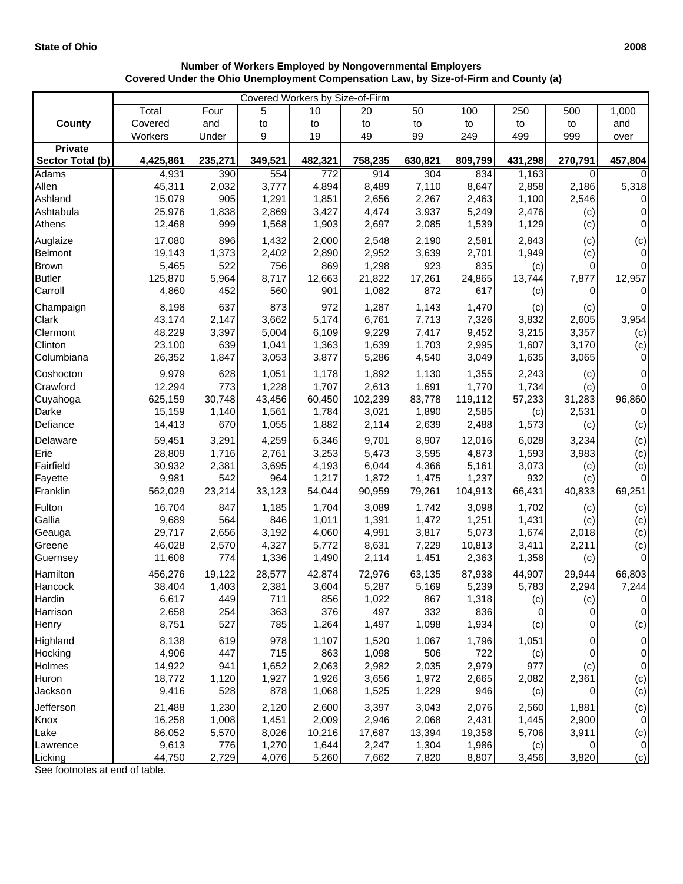|                  | Covered Workers by Size-of-Firm |         |         |         |         |         |         |         |         |                  |
|------------------|---------------------------------|---------|---------|---------|---------|---------|---------|---------|---------|------------------|
|                  | Total                           | Four    | 5       | 10      | 20      | 50      | 100     | 250     | 500     | 1,000            |
| County           | Covered                         | and     | to      | to      | to      | to      | to      | to      | to      | and              |
|                  | Workers                         | Under   | 9       | 19      | 49      | 99      | 249     | 499     | 999     | over             |
| <b>Private</b>   |                                 |         |         |         |         |         |         |         |         |                  |
| Sector Total (b) | 4,425,861                       | 235,271 | 349,521 | 482,321 | 758,235 | 630,821 | 809,799 | 431,298 | 270,791 | 457,804          |
| <b>Adams</b>     | 4,931                           | 390     | 554     | 772     | 914     | 304     | 834     | 1,163   | 0       | 0                |
| Allen            | 45,311                          | 2,032   | 3,777   | 4,894   | 8,489   | 7,110   | 8,647   | 2,858   | 2,186   | 5,318            |
| Ashland          | 15,079                          | 905     | 1,291   | 1,851   | 2,656   | 2,267   | 2,463   | 1,100   | 2,546   | 0                |
| Ashtabula        | 25,976                          | 1,838   | 2,869   | 3,427   | 4,474   | 3,937   | 5,249   | 2,476   | (c)     | 0                |
| Athens           | 12,468                          | 999     | 1,568   | 1,903   | 2,697   | 2,085   | 1,539   | 1,129   | (c)     | $\mathbf 0$      |
| Auglaize         | 17,080                          | 896     | 1,432   | 2,000   | 2,548   | 2,190   | 2,581   | 2,843   | (c)     | (c)              |
| Belmont          | 19,143                          | 1,373   | 2,402   | 2,890   | 2,952   | 3,639   | 2,701   | 1,949   | (c)     | $\mathbf 0$      |
| <b>Brown</b>     | 5,465                           | 522     | 756     | 869     | 1,298   | 923     | 835     | (c)     | 0       | $\boldsymbol{0}$ |
| <b>Butler</b>    | 125,870                         | 5,964   | 8,717   | 12,663  | 21,822  | 17,261  | 24,865  | 13,744  | 7,877   | 12,957           |
| Carroll          | 4,860                           | 452     | 560     | 901     | 1,082   | 872     | 617     | (c)     | 0       | 0                |
| Champaign        | 8,198                           | 637     | 873     | 972     | 1,287   | 1,143   | 1,470   | (c)     | (c)     | 0                |
| Clark            | 43,174                          | 2,147   | 3,662   | 5,174   | 6,761   | 7,713   | 7,326   | 3,832   | 2,605   | 3,954            |
| Clermont         | 48,229                          | 3,397   | 5,004   | 6,109   | 9,229   | 7,417   | 9,452   | 3,215   | 3,357   | (c)              |
| Clinton          | 23,100                          | 639     | 1,041   | 1,363   | 1,639   | 1,703   | 2,995   | 1,607   | 3,170   | (c)              |
| Columbiana       | 26,352                          | 1,847   | 3,053   | 3,877   | 5,286   | 4,540   | 3,049   | 1,635   | 3,065   | 0                |
|                  |                                 |         |         |         |         |         |         |         |         |                  |
| Coshocton        | 9,979                           | 628     | 1,051   | 1,178   | 1,892   | 1,130   | 1,355   | 2,243   | (c)     | 0                |
| Crawford         | 12,294                          | 773     | 1,228   | 1,707   | 2,613   | 1,691   | 1,770   | 1,734   | (c)     | $\boldsymbol{0}$ |
| Cuyahoga         | 625,159                         | 30,748  | 43,456  | 60,450  | 102,239 | 83,778  | 119,112 | 57,233  | 31,283  | 96,860           |
| Darke            | 15,159                          | 1,140   | 1,561   | 1,784   | 3,021   | 1,890   | 2,585   | (c)     | 2,531   | $\mathbf 0$      |
| Defiance         | 14,413                          | 670     | 1,055   | 1,882   | 2,114   | 2,639   | 2,488   | 1,573   | (c)     | (c)              |
| Delaware         | 59,451                          | 3,291   | 4,259   | 6,346   | 9,701   | 8,907   | 12,016  | 6,028   | 3,234   | (c)              |
| Erie             | 28,809                          | 1,716   | 2,761   | 3,253   | 5,473   | 3,595   | 4,873   | 1,593   | 3,983   | (c)              |
| Fairfield        | 30,932                          | 2,381   | 3,695   | 4,193   | 6,044   | 4,366   | 5,161   | 3,073   | (c)     | (c)              |
| Fayette          | 9,981                           | 542     | 964     | 1,217   | 1,872   | 1,475   | 1,237   | 932     | (c)     | 0                |
| Franklin         | 562,029                         | 23,214  | 33,123  | 54,044  | 90,959  | 79,261  | 104,913 | 66,431  | 40,833  | 69,251           |
|                  |                                 |         |         |         |         |         |         |         |         |                  |
| Fulton           | 16,704                          | 847     | 1,185   | 1,704   | 3,089   | 1,742   | 3,098   | 1,702   | (c)     | (c)              |
| Gallia           | 9,689                           | 564     | 846     | 1,011   | 1,391   | 1,472   | 1,251   | 1,431   | (c)     | (c)              |
| Geauga           | 29,717                          | 2,656   | 3,192   | 4,060   | 4,991   | 3,817   | 5,073   | 1,674   | 2,018   | (c)              |
| Greene           | 46,028                          | 2,570   | 4,327   | 5,772   | 8,631   | 7,229   | 10,813  | 3,411   | 2,211   | (c)              |
| Guernsey         | 11,608                          | 774     | 1,336   | 1,490   | 2,114   | 1,451   | 2,363   | 1,358   | (c)     | $\mathbf 0$      |
| Hamilton         | 456,276                         | 19,122  | 28,577  | 42,874  | 72,976  | 63,135  | 87,938  | 44,907  | 29,944  | 66,803           |
| Hancock          | 38,404                          | 1,403   | 2,381   | 3,604   | 5,287   | 5,169   | 5,239   | 5,783   | 2,294   | 7,244            |
| Hardin           | 6,617                           | 449     | 711     | 856     | 1,022   | 867     | 1,318   | (c)     | (c)     | 0                |
| Harrison         | 2,658                           | 254     | 363     | 376     | 497     | 332     | 836     | 0       | 0       | 0                |
| Henry            | 8,751                           | 527     | 785     | 1,264   | 1,497   | 1,098   | 1,934   | (c)     | 0       | (c)              |
| Highland         | 8,138                           | 619     | 978     | 1,107   | 1,520   | 1,067   | 1,796   | 1,051   | 0       | 0                |
| Hocking          | 4,906                           | 447     | 715     | 863     | 1,098   | 506     | 722     | (c)     | 0       | $\,0\,$          |
| Holmes           | 14,922                          | 941     | 1,652   | 2,063   | 2,982   | 2,035   | 2,979   | 977     | (c)     | $\,0\,$          |
|                  |                                 |         |         |         |         |         |         |         |         |                  |
| Huron            | 18,772                          | 1,120   | 1,927   | 1,926   | 3,656   | 1,972   | 2,665   | 2,082   | 2,361   | (c)              |
| Jackson          | 9,416                           | 528     | 878     | 1,068   | 1,525   | 1,229   | 946     | (c)     | 0       | (c)              |
| Jefferson        | 21,488                          | 1,230   | 2,120   | 2,600   | 3,397   | 3,043   | 2,076   | 2,560   | 1,881   | (c)              |
| Knox             | 16,258                          | 1,008   | 1,451   | 2,009   | 2,946   | 2,068   | 2,431   | 1,445   | 2,900   | 0                |
| Lake             | 86,052                          | 5,570   | 8,026   | 10,216  | 17,687  | 13,394  | 19,358  | 5,706   | 3,911   | (c)              |
| Lawrence         | 9,613                           | 776     | 1,270   | 1,644   | 2,247   | 1,304   | 1,986   | (c)     | 0       | $\mathbf 0$      |
| Licking          | 44,750                          | 2,729   | 4,076   | 5,260   | 7,662   | 7,820   | 8,807   | 3,456   | 3,820   | (c)              |

## **Number of Workers Employed by Nongovernmental Employers Covered Under the Ohio Unemployment Compensation Law, by Size-of-Firm and County (a)**

See footnotes at end of table.